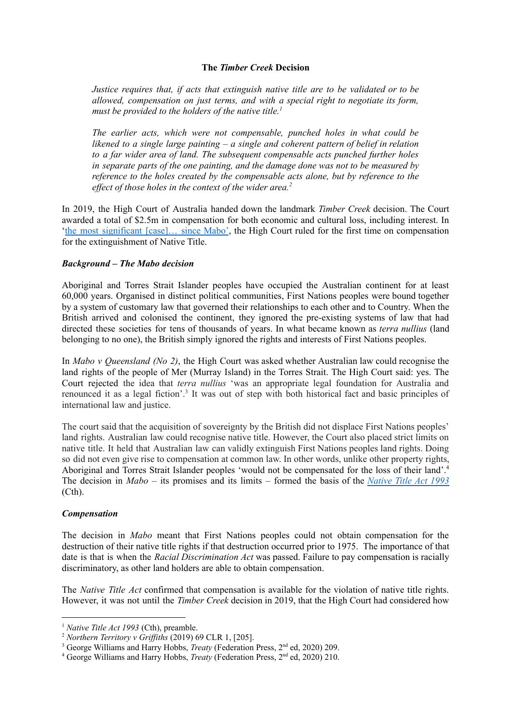### **The** *Timber Creek* **Decision**

*Justice requires that, if acts that extinguish native title are to be validated or to be allowed, compensation on just terms, and with a special right to negotiate its form, must be provided to the holders of the native title. 1*

*The earlier acts, which were not compensable, punched holes in what could be likened to a single large painting – a single and coherent pattern of belief in relation to a far wider area of land. The subsequent compensable acts punched further holes in separate parts of the one painting, and the damage done was not to be measured by reference to the holes created by the compensable acts alone, but by reference to the effect of those holes in the context of the wider area.*<sup>2</sup>

In 2019, the High Court of Australia handed down the landmark *Timber Creek* decision. The Court awarded a total of \$2.5m in compensation for both economic and cultural loss, including interest. In 'the most [significant](https://www.sbs.com.au/nitv/nitv-news/article/2019/03/19/what-next-after-most-significant-native-title-decision-mabo) [case]… since Mabo', the High Court ruled for the first time on compensation for the extinguishment of Native Title.

#### *Background – The Mabo decision*

Aboriginal and Torres Strait Islander peoples have occupied the Australian continent for at least 60,000 years. Organised in distinct political communities, First Nations peoples were bound together by a system of customary law that governed their relationships to each other and to Country. When the British arrived and colonised the continent, they ignored the pre-existing systems of law that had directed these societies for tens of thousands of years. In what became known as *terra nullius* (land belonging to no one), the British simply ignored the rights and interests of First Nations peoples.

In *Mabo v Queensland (No 2)*, the High Court was asked whether Australian law could recognise the land rights of the people of Mer (Murray Island) in the Torres Strait. The High Court said: yes. The Court rejected the idea that *terra nullius* 'was an appropriate legal foundation for Australia and renounced it as a legal fiction'. 3 It was out of step with both historical fact and basic principles of international law and justice.

The court said that the acquisition of sovereignty by the British did not displace First Nations peoples' land rights. Australian law could recognise native title. However, the Court also placed strict limits on native title. It held that Australian law can validly extinguish First Nations peoples land rights. Doing so did not even give rise to compensation at common law. In other words, unlike other property rights, Aboriginal and Torres Strait Islander peoples 'would not be compensated for the loss of their land'.<sup>4</sup> The decision in *Mabo* – its promises and its limits – formed the basis of the *[Native](https://www.legislation.gov.au/Details/C2017C00178) Title Act 1993* (Cth).

#### *Compensation*

The decision in *Mabo* meant that First Nations peoples could not obtain compensation for the destruction of their native title rights if that destruction occurred prior to 1975. The importance of that date is that is when the *Racial Discrimination Act* was passed. Failure to pay compensation is racially discriminatory, as other land holders are able to obtain compensation.

The *Native Title Act* confirmed that compensation is available for the violation of native title rights. However, it was not until the *Timber Creek* decision in 2019, that the High Court had considered how

<sup>1</sup> *Native Title Act 1993* (Cth), preamble.

 $2$  *Northern Territory*  $v$  *Griffiths* (2019) 69 CLR 1, [205].

<sup>&</sup>lt;sup>3</sup> George Williams and Harry Hobbs, *Treaty* (Federation Press, 2<sup>nd</sup> ed, 2020) 209.

<sup>&</sup>lt;sup>4</sup> George Williams and Harry Hobbs, *Treaty* (Federation Press, 2<sup>nd</sup> ed, 2020) 210.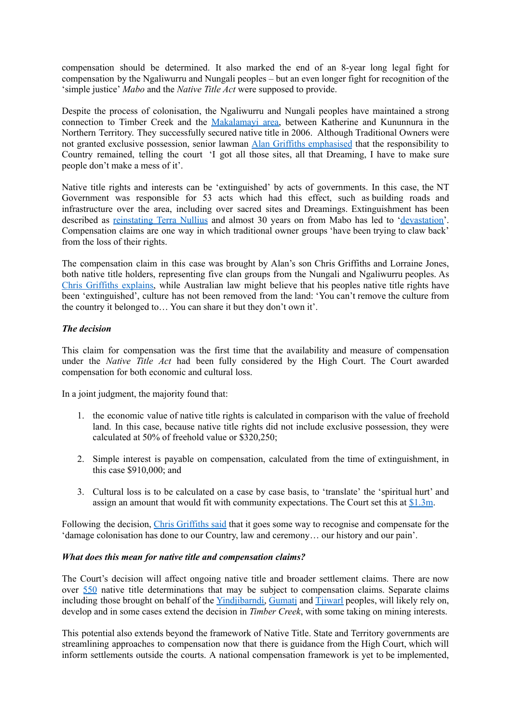compensation should be determined. It also marked the end of an 8-year long legal fight for compensation by the Ngaliwurru and Nungali peoples – but an even longer fight for recognition of the 'simple justice' *Mabo* and the *Native Title Act* were supposed to provide.

Despite the process of colonisation, the Ngaliwurru and Nungali peoples have maintained a strong connection to Timber Creek and the [Makalamayi](https://www.rahc.com.au/sites/default/files/pictures/Timber%20Creek_RAHC%20Community%20Profile_Katherine%20Region_web.pdf) area, between Katherine and Kununnura in the Northern Territory. They successfully secured native title in 2006. Although Traditional Owners were not granted exclusive possession, senior lawman Alan Griffiths [emphasised](https://www.sbs.com.au/nitv/article/2016/08/25/heres-exactly-why-millions-were-awarded-nt-indigenous-custodians-federal-court) that the responsibility to Country remained, telling the court 'I got all those sites, all that Dreaming, I have to make sure people don't make a mess of it'.

Native title rights and interests can be 'extinguished' by acts of governments. In this case, the NT Government was responsible for 53 acts which had this effect, such as building roads and infrastructure over the area, including over sacred sites and Dreamings. Extinguishment has been described as [reinstating](https://indigenousx.com.au/senator-patrick-dodson-no-one-can-ever-take-your-land-away/) Terra Nullius and almost 30 years on from Mabo has led to ['devastation'](https://indigenousx.com.au/land-rights-sand-castle-in-a-wind-storm/). Compensation claims are one way in which traditional owner groups 'have been trying to claw back' from the loss of their rights.

The compensation claim in this case was brought by Alan's son Chris Griffiths and Lorraine Jones, both native title holders, representing five clan groups from the Nungali and Ngaliwurru peoples. As Chris [Griffiths](https://www.portlincolntimes.com.au/story/5952845/high-court-cuts-nt-native-title-payout/) explains, while Australian law might believe that his peoples native title rights have been 'extinguished', culture has not been removed from the land: 'You can't remove the culture from the country it belonged to… You can share it but they don't own it'.

# *The decision*

This claim for compensation was the first time that the availability and measure of compensation under the *Native Title Act* had been fully considered by the High Court. The Court awarded compensation for both economic and cultural loss.

In a joint judgment, the majority found that:

- 1. the economic value of native title rights is calculated in comparison with the value of freehold land. In this case, because native title rights did not include exclusive possession, they were calculated at 50% of freehold value or \$320,250;
- 2. Simple interest is payable on compensation, calculated from the time of extinguishment, in this case \$910,000; and
- 3. Cultural loss is to be calculated on a case by case basis, to 'translate' the 'spiritual hurt' and assign an amount that would fit with community expectations. The Court set this at [\\$1.3m](https://eresources.hcourt.gov.au/showCase/2019/HCA/7).

Following the decision, Chris [Griffiths](https://www.anka.org.au/assets/Archive/Arts-Backbone/Backbone-Vol-18-Issue-2-Vol-19-Issue-Homelands-Edition-6-August-2019-Spreads.pdf) said that it goes some way to recognise and compensate for the 'damage colonisation has done to our Country, law and ceremony… our history and our pain'.

## *What does this mean for native title and compensation claims?*

The Court's decision will affect ongoing native title and broader settlement claims. There are now over [550](http://www.nntt.gov.au/Pages/Statistics.aspx) native title determinations that may be subject to compensation claims. Separate claims including those brought on behalf of the Yindiibarndi, Gumati and Tiiwarl peoples, will likely rely on, develop and in some cases extend the decision in *Timber Creek*, with some taking on mining interests.

This potential also extends beyond the framework of Native Title. State and Territory governments are streamlining approaches to compensation now that there is guidance from the High Court, which will inform settlements outside the courts. A national compensation framework is yet to be implemented,